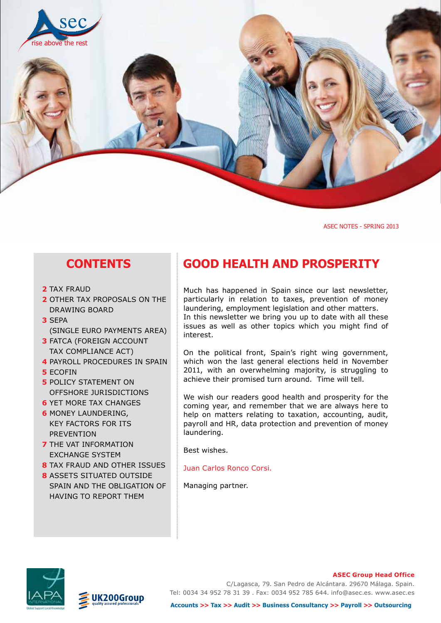

ASEC NOTES - SPRING 2013

### **CONTENTS**

- **2** TAX FRAUD
- **2** OTHER TAX PROPOSALS ON THE DRAWING BOARD
- **3** SEPA (SINGLE EURO PAYMENTS AREA)
- **3** FATCA (FOREIGN ACCOUNT TAX COMPLIANCE ACT)
- **4 PAYROLL PROCEDURES IN SPAIN**
- **5** ECOFIN
- **5** POLICY STATEMENT ON OFFSHORE JURISDICTIONS
- **6** YET MORE TAX CHANGES
- **6** MONEY LAUNDERING, KEY FACTORS FOR ITS PREVENTION
- **7** THE VAT INFORMATION EXCHANGE SYSTEM
- **8** TAX FRAUD AND OTHER ISSUES
- **8** ASSETS SITUATED OUTSIDE SPAIN AND THE OBLIGATION OF HAVING TO REPORT THEM

### **good health and prosperity**

Much has happened in Spain since our last newsletter, particularly in relation to taxes, prevention of money laundering, employment legislation and other matters. In this newsletter we bring you up to date with all these issues as well as other topics which you might find of interest.

On the political front, Spain's right wing government, which won the last general elections held in November 2011, with an overwhelming majority, is struggling to achieve their promised turn around. Time will tell.

We wish our readers good health and prosperity for the coming year, and remember that we are always here to help on matters relating to taxation, accounting, audit, payroll and HR, data protection and prevention of money laundering.

Best wishes.

Juan Carlos Ronco Corsi.

Managing partner.



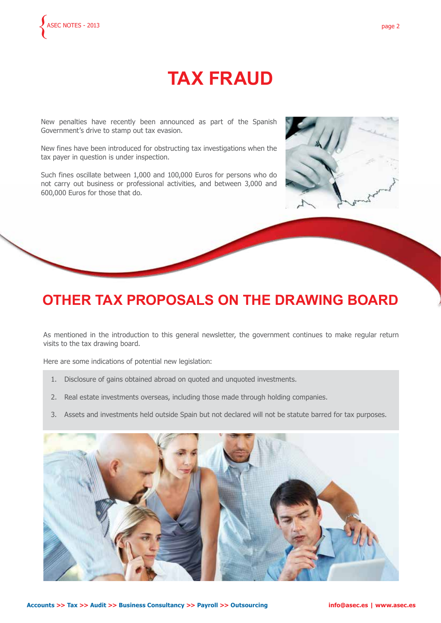# **TAX FRAUD**

New penalties have recently been announced as part of the Spanish Government's drive to stamp out tax evasion.

New fines have been introduced for obstructing tax investigations when the tax payer in question is under inspection.

Such fines oscillate between 1,000 and 100,000 Euros for persons who do not carry out business or professional activities, and between 3,000 and 600,000 Euros for those that do.



### **OTHER TAX PROPOSALS ON THE DRAWING BOARD**

As mentioned in the introduction to this general newsletter, the government continues to make regular return visits to the tax drawing board.

Here are some indications of potential new legislation:

- 1. Disclosure of gains obtained abroad on quoted and unquoted investments.
- 2. Real estate investments overseas, including those made through holding companies.
- 3. Assets and investments held outside Spain but not declared will not be statute barred for tax purposes.

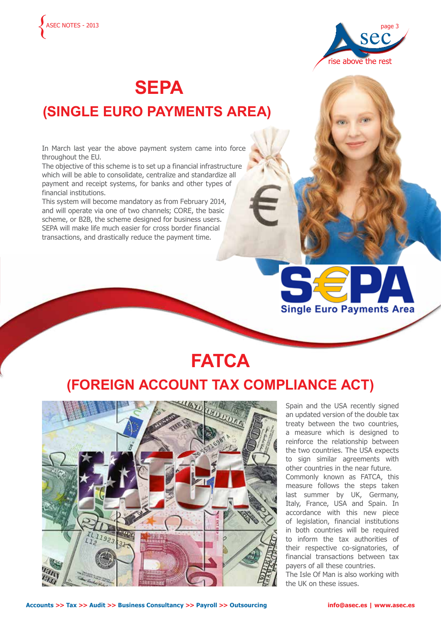



**Juan Carlos Ronco Corsi** jrc@asec.es - skype: juan.ronco

*Www.asec.ess.* 

## **SEPA (SINGLE EURO PAYMENTS AREA)**

In March last year the above payment system came into force throughout the EU.

The objective of this scheme is to set up a financial infrastructure which will be able to consolidate, centralize and standardize all payment and receipt systems, for banks and other types of financial institutions.

This system will become mandatory as from February 2014, and will operate via one of two channels; CORE, the basic scheme, or B2B, the scheme designed for business users. SEPA will make life much easier for cross border financial transactions, and drastically reduce the payment time.

# **FATCA**

### **(FOREIGN ACCOUNT TAX COMPLIANCE ACT)**



Spain and the USA recently signed an updated version of the double tax treaty between the two countries, a measure which is designed to reinforce the relationship between the two countries. The USA expects to sign similar agreements with other countries in the near future. Commonly known as FATCA, this measure follows the steps taken last summer by UK, Germany, Italy, France, USA and Spain. In accordance with this new piece of legislation, financial institutions in both countries will be required to inform the tax authorities of their respective co-signatories, of financial transactions between tax payers of all these countries.

**Single Euro Payments Area** 

The Isle Of Man is also working with the UK on these issues.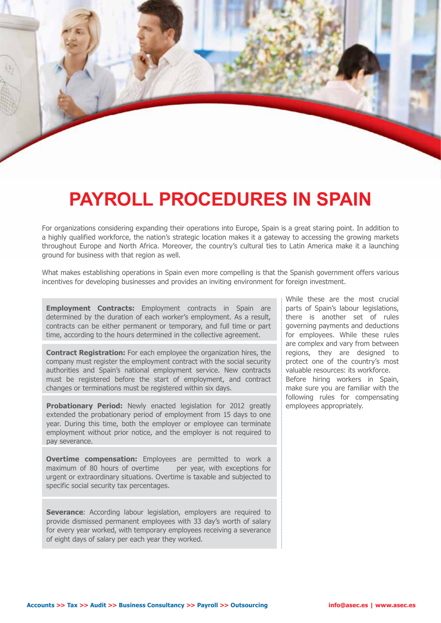## **PAYROLL PROCEDURES IN SPAIN**

 $\mathbb{A}$  and  $\mathbb{A}$  and  $\mathbb{A}$ 

For organizations considering expanding their operations into Europe, Spain is a great staring point. In addition to a highly qualified workforce, the nation's strategic location makes it a gateway to accessing the growing markets throughout Europe and North Africa. Moreover, the country's cultural ties to Latin America make it a launching ground for business with that region as well.

What makes establishing operations in Spain even more compelling is that the Spanish government offers various incentives for developing businesses and provides an inviting environment for foreign investment.

**Employment Contracts:** Employment contracts in Spain are determined by the duration of each worker's employment. As a result, contracts can be either permanent or temporary, and full time or part time, according to the hours determined in the collective agreement.

**Contract Registration:** For each employee the organization hires, the company must register the employment contract with the social security authorities and Spain's national employment service. New contracts must be registered before the start of employment, and contract changes or terminations must be registered within six days.

**Probationary Period:** Newly enacted legislation for 2012 greatly extended the probationary period of employment from 15 days to one year. During this time, both the employer or employee can terminate employment without prior notice, and the employer is not required to pay severance.

**Overtime compensation:** Employees are permitted to work a maximum of 80 hours of overtime per year, with exceptions for urgent or extraordinary situations. Overtime is taxable and subjected to specific social security tax percentages.

**Severance:** According labour legislation, employers are required to provide dismissed permanent employees with 33 day's worth of salary for every year worked, with temporary employees receiving a severance of eight days of salary per each year they worked.

While these are the most crucial parts of Spain's labour legislations, there is another set of rules governing payments and deductions for employees. While these rules are complex and vary from between regions, they are designed to protect one of the country's most valuable resources: its workforce. Before hiring workers in Spain, make sure you are familiar with the following rules for compensating employees appropriately.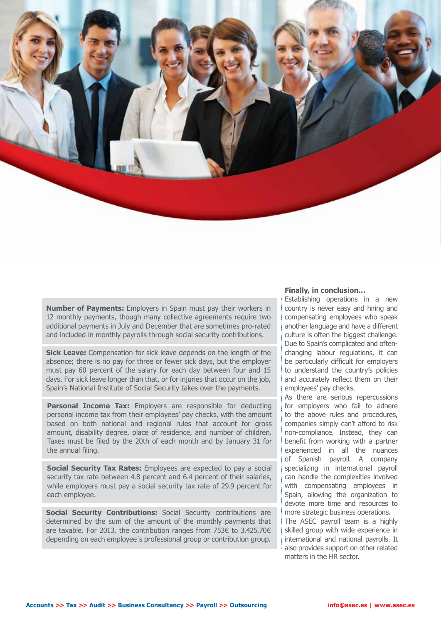

**Number of Payments:** Employers in Spain must pay their workers in 12 monthly payments, though many collective agreements require two additional payments in July and December that are sometimes pro-rated and included in monthly payrolls through social security contributions.

**Sick Leave:** Compensation for sick leave depends on the length of the absence; there is no pay for three or fewer sick days, but the employer must pay 60 percent of the salary for each day between four and 15 days. For sick leave longer than that, or for injuries that occur on the job, Spain's National Institute of Social Security takes over the payments.

**Personal Income Tax:** Employers are responsible for deducting personal income tax from their employees' pay checks, with the amount based on both national and regional rules that account for gross amount, disability degree, place of residence, and number of children. Taxes must be filed by the 20th of each month and by January 31 for the annual filing.

**Social Security Tax Rates:** Employees are expected to pay a social security tax rate between 4.8 percent and 6.4 percent of their salaries, while employers must pay a social security tax rate of 29.9 percent for each employee.

**Social Security Contributions:** Social Security contributions are determined by the sum of the amount of the monthly payments that are taxable. For 2013, the contribution ranges from 753€ to 3.425,70€ depending on each employee´s professional group or contribution group.

#### **Finally, in conclusion…**

Establishing operations in a new country is never easy and hiring and compensating employees who speak another language and have a different culture is often the biggest challenge. Due to Spain's complicated and oftenchanging labour regulations, it can be particularly difficult for employers to understand the country's policies and accurately reflect them on their employees' pay checks.

As there are serious repercussions for employers who fail to adhere to the above rules and procedures, companies simply can't afford to risk non-compliance. Instead, they can benefit from working with a partner experienced in all the nuances of Spanish payroll. A company specializing in international payroll can handle the complexities involved with compensating employees in Spain, allowing the organization to devote more time and resources to more strategic business operations.

The ASEC payroll team is a highly skilled group with wide experience in international and national payrolls. It also provides support on other related matters in the HR sector.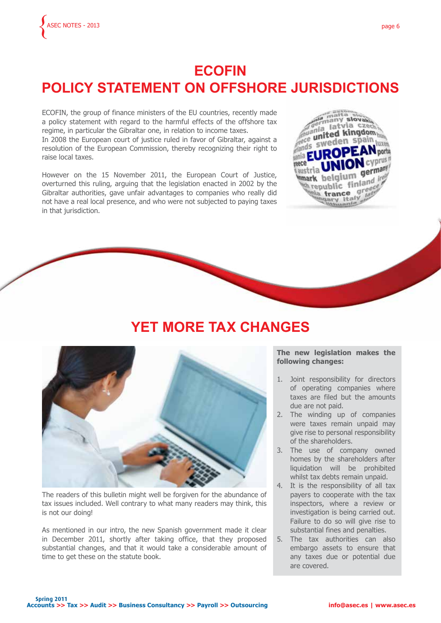### **ECOFIN POLICY STATEMENT ON OFFSHORE JURISDICTIONS**

ECOFIN, the group of finance ministers of the EU countries, recently made a policy statement with regard to the harmful effects of the offshore tax regime, in particular the Gibraltar one, in relation to income taxes.

In 2008 the European court of justice ruled in favor of Gibraltar, against a resolution of the European Commission, thereby recognizing their right to raise local taxes.

However on the 15 November 2011, the European Court of Justice, overturned this ruling, arguing that the legislation enacted in 2002 by the Gibraltar authorities, gave unfair advantages to companies who really did not have a real local presence, and who were not subjected to paying taxes in that jurisdiction.



### **YET MORE TAX CHANGES**



The readers of this bulletin might well be forgiven for the abundance of tax issues included. Well contrary to what many readers may think, this is not our doing!

As mentioned in our intro, the new Spanish government made it clear in December 2011, shortly after taking office, that they proposed substantial changes, and that it would take a considerable amount of time to get these on the statute book.

#### **The new legislation makes the following changes:**

- 1. Joint responsibility for directors of operating companies where taxes are filed but the amounts due are not paid.
- 2. The winding up of companies were taxes remain unpaid may give rise to personal responsibility of the shareholders.
- 3. The use of company owned homes by the shareholders after liquidation will be prohibited whilst tax debts remain unpaid.
- 4. It is the responsibility of all tax payers to cooperate with the tax inspectors, where a review or investigation is being carried out. Failure to do so will give rise to substantial fines and penalties.
- 5. The tax authorities can also embargo assets to ensure that any taxes due or potential due are covered.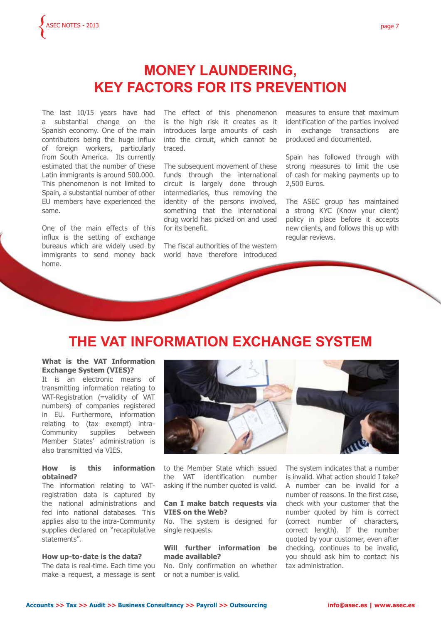

### **MONEY LAUNDERING, KEY FACTORS FOR ITS PREVENTION**

The last 10/15 years have had a substantial change on the Spanish economy. One of the main contributors being the huge influx of foreign workers, particularly from South America. Its currently estimated that the number of these Latin immigrants is around 500.000. This phenomenon is not limited to Spain, a substantial number of other EU members have experienced the same.

One of the main effects of this influx is the setting of exchange bureaus which are widely used by immigrants to send money back home.

The effect of this phenomenon is the high risk it creates as it introduces large amounts of cash into the circuit, which cannot be traced.

The subsequent movement of these funds through the international circuit is largely done through intermediaries, thus removing the identity of the persons involved, something that the international drug world has picked on and used for its benefit.

The fiscal authorities of the western world have therefore introduced measures to ensure that maximum identification of the parties involved in exchange transactions are produced and documented.

Spain has followed through with strong measures to limit the use of cash for making payments up to 2,500 Euros.

The ASEC group has maintained a strong KYC (Know your client) policy in place before it accepts new clients, and follows this up with regular reviews.

## **THE VAT INFORMATION EXCHANGE SYSTEM**

#### **What is the VAT Information Exchange System (VIES)?**

It is an electronic means of transmitting information relating to VAT-Registration (=validity of VAT numbers) of companies registered in EU. Furthermore, information relating to (tax exempt) intra-Community supplies between Member States' administration is also transmitted via VIES.

#### **How is this information obtained?**

The information relating to VATregistration data is captured by the national administrations and fed into national databases. This applies also to the intra-Community supplies declared on "recapitulative statements".

#### **How up-to-date is the data?**

The data is real-time. Each time you make a request, a message is sent



to the Member State which issued the VAT identification number asking if the number quoted is valid.

#### **Can I make batch requests via VIES on the Web?**

No. The system is designed for single requests.

#### **Will further information be made available?**

No. Only confirmation on whether or not a number is valid.

The system indicates that a number is invalid. What action should I take? A number can be invalid for a number of reasons. In the first case, check with your customer that the number quoted by him is correct (correct number of characters, correct length). If the number quoted by your customer, even after checking, continues to be invalid, you should ask him to contact his tax administration.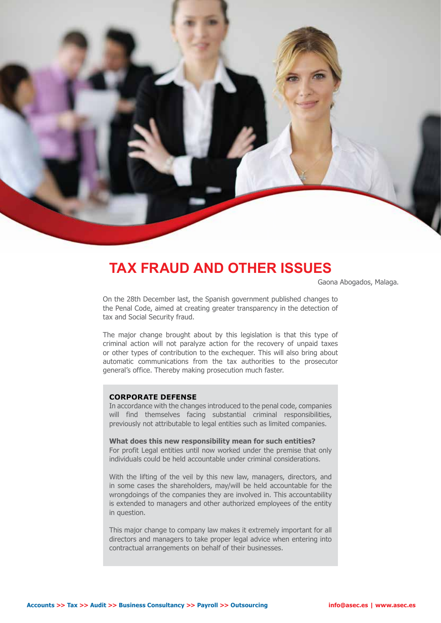

### **TAX FRAUD AND OTHER ISSUES**

Gaona Abogados, Malaga.

On the 28th December last, the Spanish government published changes to the Penal Code, aimed at creating greater transparency in the detection of tax and Social Security fraud.

The major change brought about by this legislation is that this type of criminal action will not paralyze action for the recovery of unpaid taxes or other types of contribution to the exchequer. This will also bring about automatic communications from the tax authorities to the prosecutor general's office. Thereby making prosecution much faster.

#### **CORPORATE DEFENSE**

In accordance with the changes introduced to the penal code, companies will find themselves facing substantial criminal responsibilities, previously not attributable to legal entities such as limited companies.

**What does this new responsibility mean for such entities?** For profit Legal entities until now worked under the premise that only individuals could be held accountable under criminal considerations.

With the lifting of the veil by this new law, managers, directors, and in some cases the shareholders, may/will be held accountable for the wrongdoings of the companies they are involved in. This accountability is extended to managers and other authorized employees of the entity in question.

This major change to company law makes it extremely important for all directors and managers to take proper legal advice when entering into contractual arrangements on behalf of their businesses.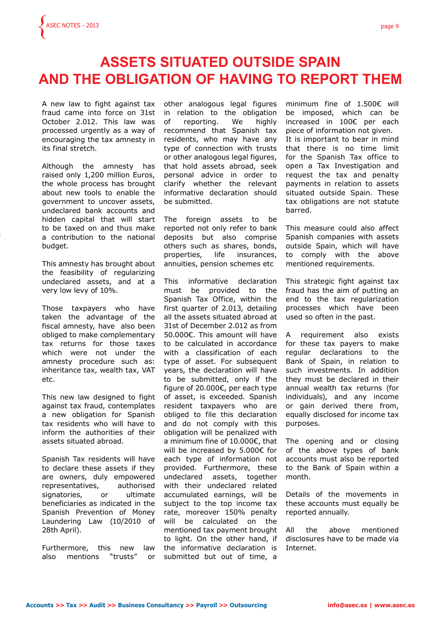### **ASSETS SITUATED OUTSIDE SPAIN AND THE OBLIGATION OF HAVING TO REPORT THEM**

A new law to fight against tax fraud came into force on 31st October 2.012. This law was processed urgently as a way of encouraging the tax amnesty in its final stretch.

Although the amnesty has raised only 1,200 million Euros, the whole process has brought about new tools to enable the government to uncover assets, undeclared bank accounts and hidden capital that will start to be taxed on and thus make a contribution to the national budget.

This amnesty has brought about the feasibility of regularizing undeclared assets, and at a very low levy of 10%.

Those taxpayers who have taken the advantage of the fiscal amnesty, have also been obliged to make complementary tax returns for those taxes which were not under the amnesty procedure such as: inheritance tax, wealth tax, VAT etc.

This new law designed to fight against tax fraud, contemplates a new obligation for Spanish tax residents who will have to inform the authorities of their assets situated abroad.

Spanish Tax residents will have to declare these assets if they are owners, duly empowered representatives, authorised signatories, or ultimate beneficiaries as indicated in the Spanish Prevention of Money Laundering Law (10/2010 of 28th April).

Furthermore, this new law also mentions "trusts" or other analogous legal figures in relation to the obligation of reporting. We highly recommend that Spanish tax residents, who may have any type of connection with trusts or other analogous legal figures, that hold assets abroad, seek personal advice in order to clarify whether the relevant informative declaration should be submitted.

The foreign assets to be reported not only refer to bank deposits but also comprise others such as shares, bonds, properties, life insurances, annuities, pension schemes etc

This informative declaration must be provided to the Spanish Tax Office, within the first quarter of 2.013, detailing all the assets situated abroad at 31st of December 2.012 as from 50.000€. This amount will have to be calculated in accordance with a classification of each type of asset. For subsequent years, the declaration will have to be submitted, only if the figure of 20.000€, per each type of asset, is exceeded. Spanish resident taxpayers who are obliged to file this declaration and do not comply with this obligation will be penalized with a minimum fine of 10.000€, that will be increased by 5.000€ for each type of information not provided. Furthermore, these undeclared assets, together with their undeclared related accumulated earnings, will be subject to the top income tax rate, moreover 150% penalty will be calculated on the mentioned tax payment brought to light. On the other hand, if the informative declaration is submitted but out of time, a

minimum fine of 1.500€ will be imposed, which can be increased in 100€ per each piece of information not given. It is important to bear in mind that there is no time limit for the Spanish Tax office to open a Tax Investigation and request the tax and penalty payments in relation to assets situated outside Spain. These tax obligations are not statute barred.

This measure could also affect Spanish companies with assets outside Spain, which will have to comply with the above mentioned requirements.

This strategic fight against tax fraud has the aim of putting an end to the tax regularization processes which have been used so often in the past.

A requirement also exists for these tax payers to make regular declarations to the Bank of Spain, in relation to such investments. In addition they must be declared in their annual wealth tax returns (for individuals), and any income or gain derived there from, equally disclosed for income tax purposes.

The opening and or closing of the above types of bank accounts must also be reported to the Bank of Spain within a month.

Details of the movements in these accounts must equally be reported annually.

All the above mentioned disclosures have to be made via Internet.